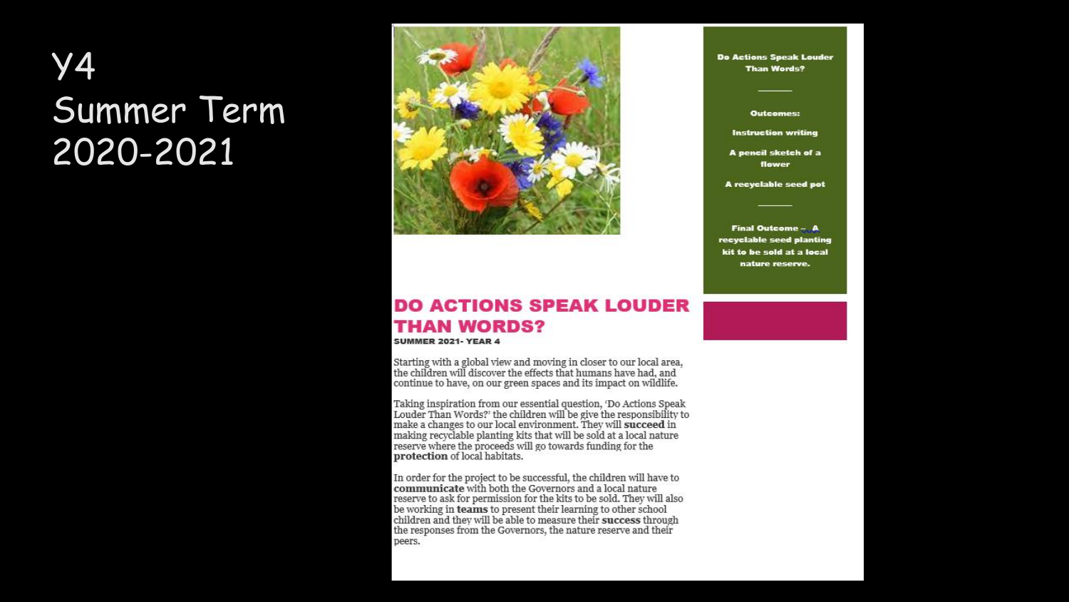### Y4 Summer Term 2020-2021



### **DO ACTIONS SPEAK LOUDER THAN WORDS?**

**SUMMER 2021- YEAR 4** 

Starting with a global view and moving in closer to our local area,<br>the children will discover the effects that humans have had, and continue to have, on our green spaces and its impact on wildlife.

Taking inspiration from our essential question, 'Do Actions Speak<br>Louder Than Words?' the children will be give the responsibility to make a changes to our local environment. They will **succeed** in<br>making recyclable planting kits that will be sold at a local nature reserve where the proceeds will go towards funding for the protection of local habitats.

In order for the project to be successful, the children will have to communicate with both the Governors and a local nature reserve to ask for permission for the kits to be sold. They will also be working in teams to present their learning to other school children and they will be able to measure their success through the responses from the Governors, the nature reserve and their peers.

Do Actions Speak Louder **Than Words?** 

Outcomes:

**Instruction writing** 

A pencil sketch of a flower

A recyclable seed pot

Final Outcome - A recyclable seed planting kit to be sold at a local nature reserve.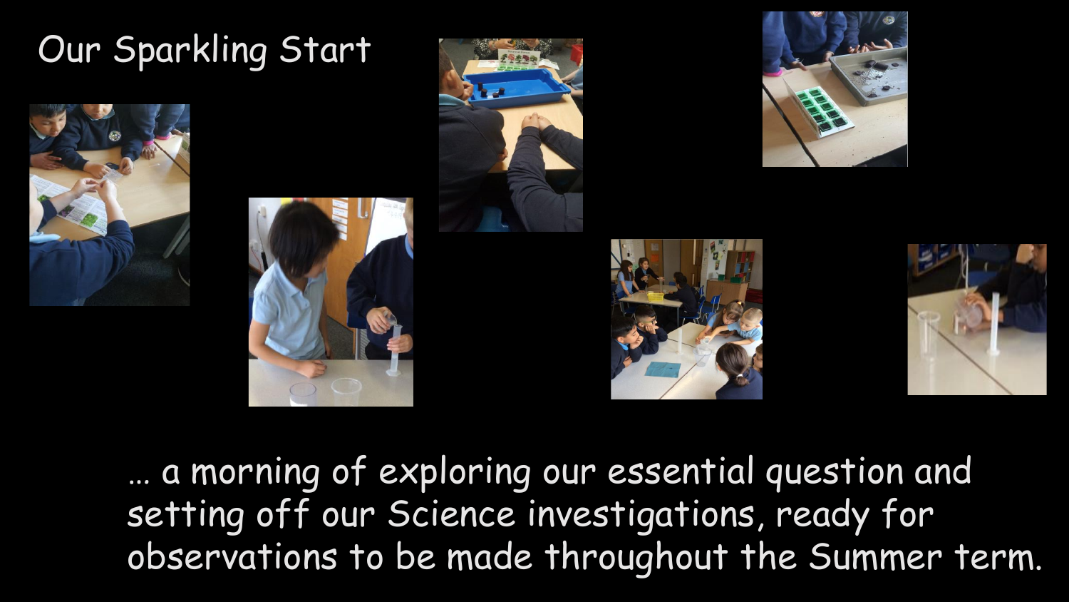

… a morning of exploring our essential question and setting off our Science investigations, ready for observations to be made throughout the Summer term.





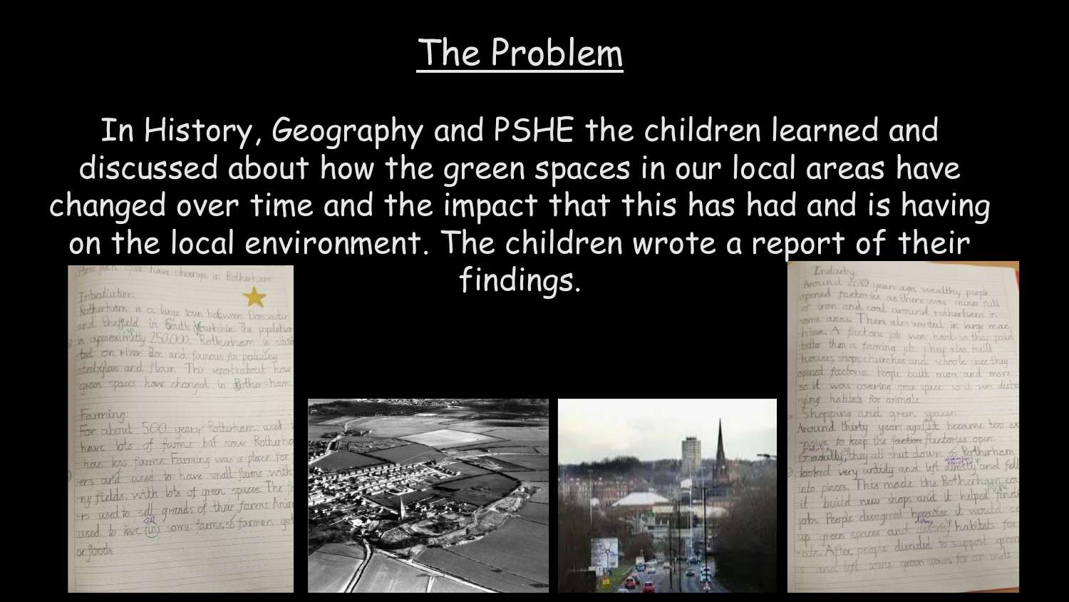### The Problem

In History, Geography and PSHE the children learned and discussed about how the green spaces in our local areas have changed over time and the impact that this has had and is having on the local environment. The children wrote a report of their



### Farming

For about 500 years Rotherham used t have lots of fames but now Rothers have kes farms. Farming was a place for has less farms farming and farms with -ers and used to have spaces. The fe my fields, with loss of their forms. Anim

### findings.



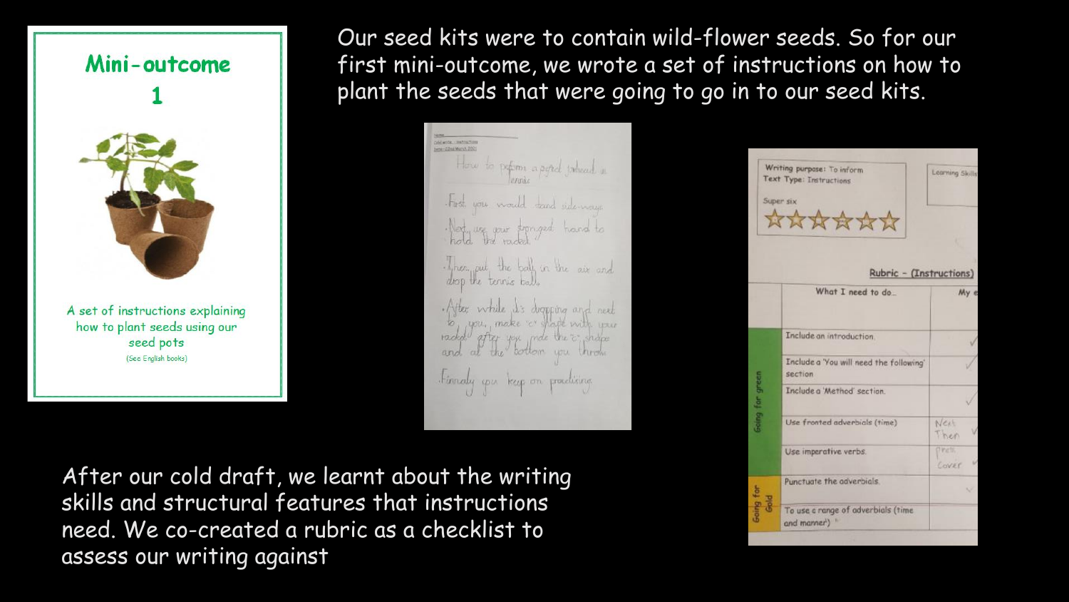

(See English books)

Our seed kits were to contain wild-flower seeds. So for our first mini-outcome, we wrote a set of instructions on how to plant the seeds that were going to go in to our seed kits.

CHEWISE - INCONSIN Diete - Clind March 2021 How to permis a poted joined in First you would teard side-ways. hat we your songed hand to Then put the ball in the air and After while it's digpping and next you, make a shape with you racked after you made the c shape the bottom you throw tinnaly you keep on practicing.

After our cold draft, we learnt about the writing skills and structural features that instructions need. We co-created a rubric as a checklist to assess our writing against

|                          | Writing purpose: To inform<br><b>Text Type: Instructions</b><br>Super six<br>****** | Learning Skills         |
|--------------------------|-------------------------------------------------------------------------------------|-------------------------|
|                          | Rubric - (Instructions)                                                             |                         |
|                          | What I need to do                                                                   | My e                    |
| <b>Going</b> for green   | Include an introduction.                                                            |                         |
|                          | Include a 'You will need the following'<br>section                                  |                         |
|                          | Include a 'Method' section.                                                         |                         |
|                          | Use fronted adverbials (time)                                                       | Next<br>Then            |
|                          | Use imperative verbs.                                                               | <b>O'Viets</b><br>COVER |
| Going for<br>$rac{1}{3}$ | Punctuate the adverbials.                                                           | v                       |
|                          | To use a range of adverbials (time<br>and manner <sup>1</sup> ) "                   |                         |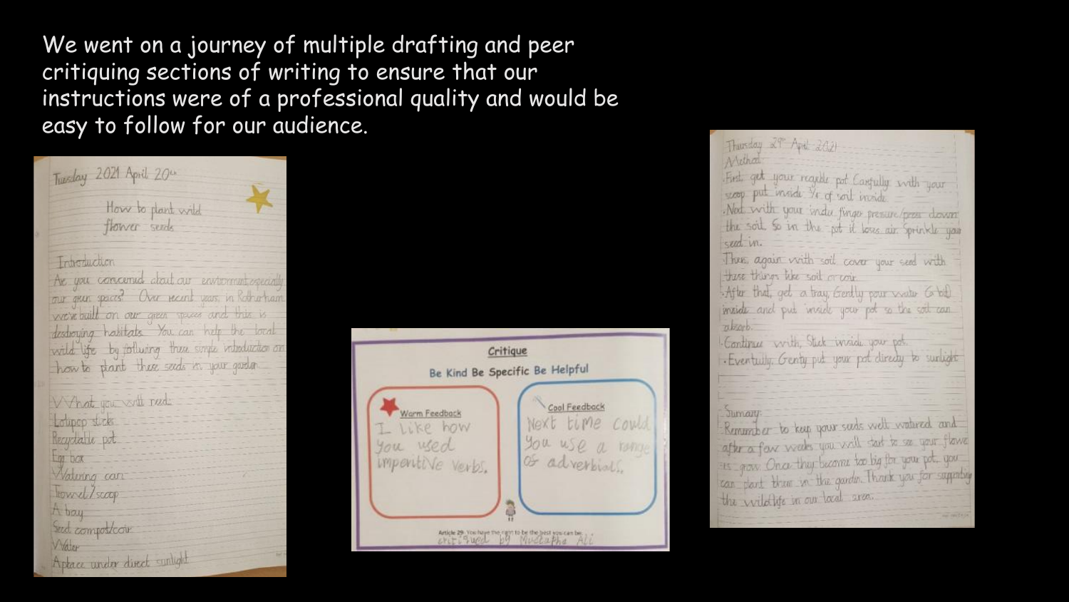We went on a journey of multiple drafting and peer critiquing sections of writing to ensure that our instructions were of a professional quality and would be easy to follow for our audience.

| Tuesday 2021 April 20th                                                                                 |
|---------------------------------------------------------------------------------------------------------|
| How to plant wild<br>flower sends                                                                       |
| Introduction                                                                                            |
| Are you concerned about our environment agenciable<br>our gear spaces? Over recent years, in Rothertram |
| we've built on our green spaces and this is<br>destroying habitats You can help the local               |
| wild life by follwing these simps inheduction on<br>how to plant these seeds in your garden.            |
| What you will need:                                                                                     |
| Loupop sticks<br>Recycland pot                                                                          |
| Em box<br>Watering can                                                                                  |
| Howel/scoop<br>Aboy                                                                                     |
| Sed composicour<br>Water                                                                                |
| Aptace under direct sunlight                                                                            |



Thursday 29" April 2021 Archat First get your reader pot Carsully with your scop put inside Ve of soil inside. Ned with your indu finger presure/press down the soil. So in the pet it love air Sprinkle you seed in. Three again with soil cover your seed with tre things like soil or coin After that, get a tray Gertly pour water 6 bill inside and put inside your pot so the soil can zubsorb. Continue with Stick inside your pot . Eventuly, Genty put your pot directly to surlight Juman: Remunder to keep your seeds well watered and after a few weeks you will tast to see your flower is grow. Once they become too big for your pot, you can plant them in the gardin. Thank you for supporting the wildlife in our local area.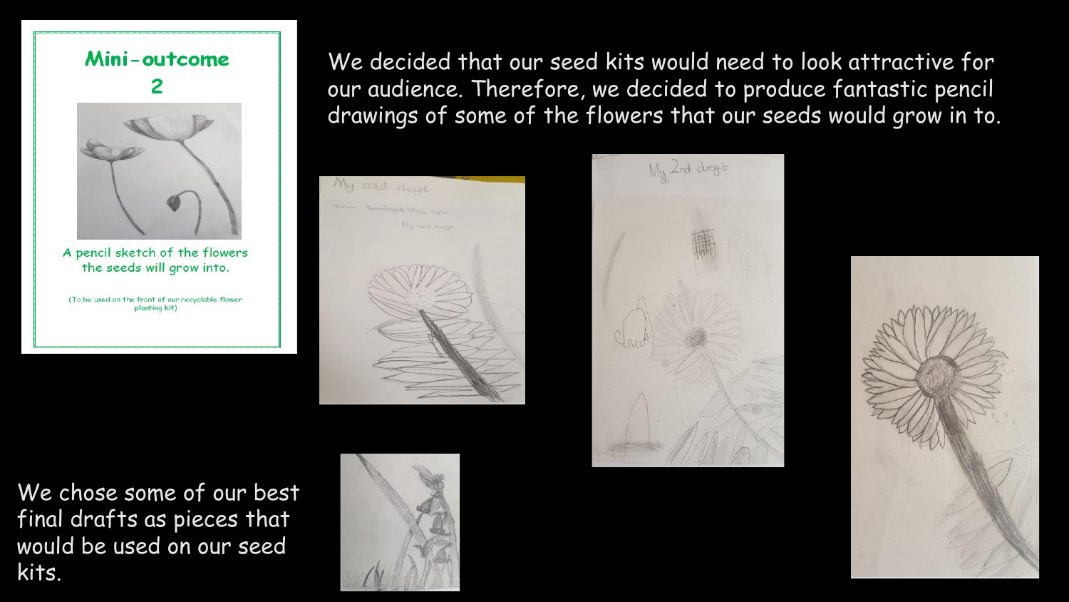## Mini-outcome



A pencil sketch of the flowers the seeds will grow into.

(To be used on the front of our recyclable flower planting kit)

We decided that our seed kits would need to look attractive for our audience. Therefore, we decided to produce fantastic pencil drawings of some of the flowers that our seeds would grow in to.





We chose some of our best final drafts as pieces that would be used on our seed kits.